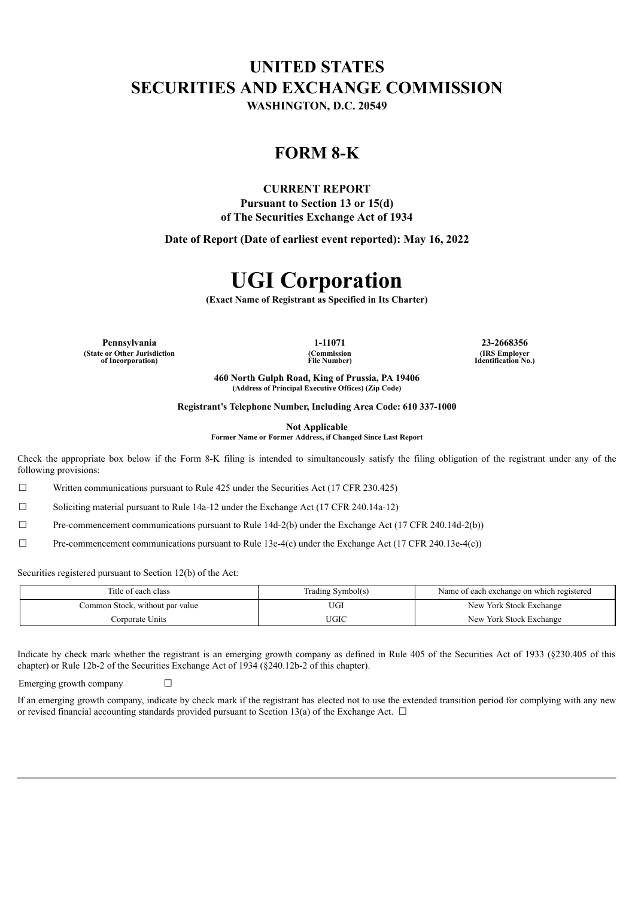# **UNITED STATES SECURITIES AND EXCHANGE COMMISSION**

**WASHINGTON, D.C. 20549**

### **FORM 8-K**

#### **CURRENT REPORT**

**Pursuant to Section 13 or 15(d) of The Securities Exchange Act of 1934**

**Date of Report (Date of earliest event reported): May 16, 2022**

## **UGI Corporation**

**(Exact Name of Registrant as Specified in Its Charter)**

**Pennsylvania 1-11071 23-2668356 (State or Other Jurisdiction of Incorporation)**

**(Commission File Number)**

**(IRS Employer Identification No.)**

**460 North Gulph Road, King of Prussia, PA 19406 (Address of Principal Executive Offices) (Zip Code)**

**Registrant's Telephone Number, Including Area Code: 610 337-1000**

**Not Applicable**

**Former Name or Former Address, if Changed Since Last Report**

Check the appropriate box below if the Form 8-K filing is intended to simultaneously satisfy the filing obligation of the registrant under any of the following provisions:

 $\Box$  Written communications pursuant to Rule 425 under the Securities Act (17 CFR 230.425)

☐ Soliciting material pursuant to Rule 14a-12 under the Exchange Act (17 CFR 240.14a-12)

 $\Box$  Pre-commencement communications pursuant to Rule 14d-2(b) under the Exchange Act (17 CFR 240.14d-2(b))

 $\Box$  Pre-commencement communications pursuant to Rule 13e-4(c) under the Exchange Act (17 CFR 240.13e-4(c))

Securities registered pursuant to Section 12(b) of the Act:

| Title of each class             | Trading Symbol(s) | Name of each exchange on which registered |
|---------------------------------|-------------------|-------------------------------------------|
| Common Stock, without par value | UGI               | New York Stock Exchange                   |
| Corporate Units                 | JGIC              | New York Stock Exchange                   |

Indicate by check mark whether the registrant is an emerging growth company as defined in Rule 405 of the Securities Act of 1933 (§230.405 of this chapter) or Rule 12b-2 of the Securities Exchange Act of 1934 (§240.12b-2 of this chapter).

Emerging growth company  $\Box$ 

If an emerging growth company, indicate by check mark if the registrant has elected not to use the extended transition period for complying with any new or revised financial accounting standards provided pursuant to Section 13(a) of the Exchange Act.  $\Box$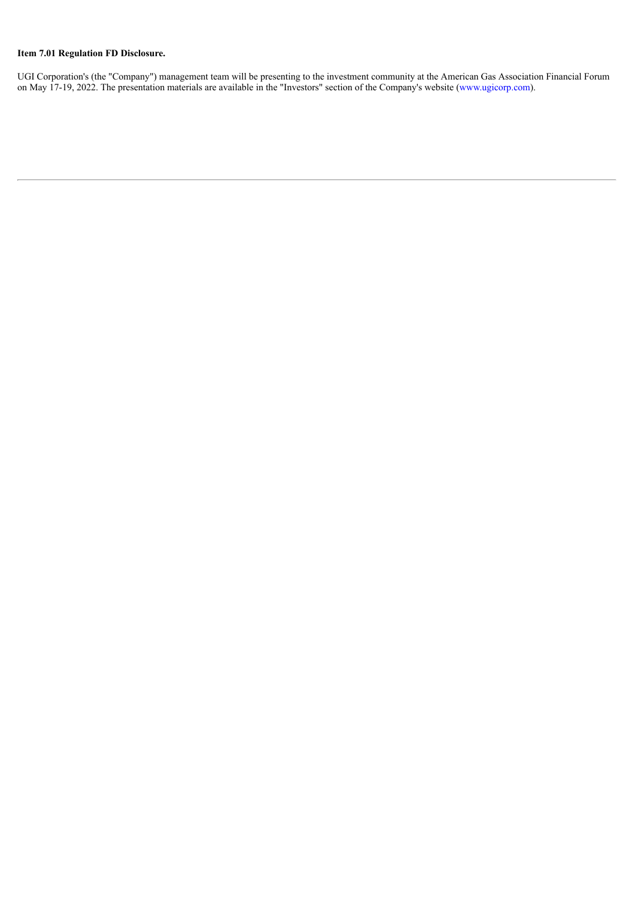### **Item 7.01 Regulation FD Disclosure.**

UGI Corporation's (the "Company") management team will be presenting to the investment community at the American Gas Association Financial Forum on May 17-19, 2022. The presentation materials are available in the "Investors" section of the Company's website (www.ugicorp.com).